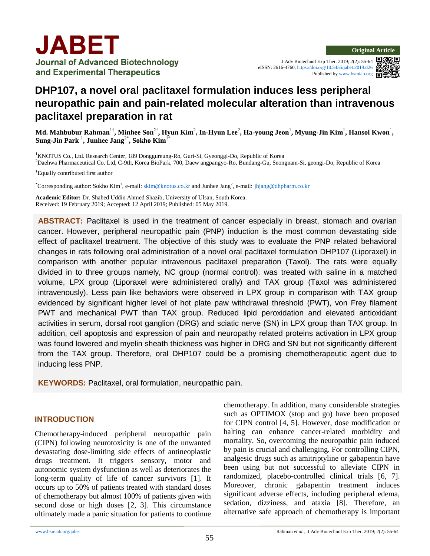

**Journal of Advanced Biotechnology** and Experimental Therapeutics

J Adv Biotechnol Exp Ther. 2019; 2(2): 55-64 eISSN: 2616-4760, <https://doi.org/10.5455/jabet.2019.d26> Published b[y www.bsmiab.org](http://www.bsmiab.org/)



# **DHP107, a novel oral paclitaxel formulation induces less peripheral neuropathic pain and pain-related molecular alteration than intravenous paclitaxel preparation in rat**

Md. Mahbubur Rahman<sup>1†</sup>, Minhee Son<sup>2†</sup>, Hyun Kim<sup>2</sup>, In-Hyun Lee<sup>2</sup>, Ha-young Jeon<sup>1</sup>, Myung-Jin Kim<sup>1</sup>, Hansol Kwon<sup>1</sup>, **Sung-Jin Park** <sup>1</sup> **, Junhee Jang**2\***, Sokho Kim**1\*

<sup>1</sup>KNOTUS Co., Ltd. Research Center, 189 Donggureung-Ro, Guri-Si, Gyeonggi-Do, Republic of Korea <sup>2</sup>Daehwa Pharmaceutical Co. Ltd, C-9th, Korea BioPark, 700, Daew angpangyo-Ro, Bundang-Gu, Seongnam-Si, geongi-Do, Republic of Korea

**†** Equally contributed first author

**\***Corresponding author: Sokho Kim<sup>1</sup> , e-mail[: skim@knotus.co.kr](mailto:skim@knotus.co.kr) and Junhee Jang<sup>2</sup> , e-mail: [jhjang@dhpharm.co.kr](mailto:jhjang@dhpharm.co.kr)

**Academic Editor:** Dr. Shahed Uddin Ahmed Shazib, University of Ulsan, South Korea. Received: 19 February 2019; Accepted: 12 April 2019; Published: 05 May 2019.

**ABSTRACT:** Paclitaxel is used in the treatment of cancer especially in breast, stomach and ovarian cancer. However, peripheral neuropathic pain (PNP) induction is the most common devastating side effect of paclitaxel treatment. The objective of this study was to evaluate the PNP related behavioral changes in rats following oral administration of a novel oral paclitaxel formulation DHP107 (Liporaxel) in comparison with another popular intravenous paclitaxel preparation (Taxol). The rats were equally divided in to three groups namely, NC group (normal control): was treated with saline in a matched volume, LPX group (Liporaxel were administered orally) and TAX group (Taxol was administered intravenously). Less pain like behaviors were observed in LPX group in comparison with TAX group evidenced by significant higher level of hot plate paw withdrawal threshold (PWT), von Frey filament PWT and mechanical PWT than TAX group. Reduced lipid peroxidation and elevated antioxidant activities in serum, dorsal root ganglion (DRG) and sciatic nerve (SN) in LPX group than TAX group. In addition, cell apoptosis and expression of pain and neuropathy related proteins activation in LPX group was found lowered and myelin sheath thickness was higher in DRG and SN but not significantly different from the TAX group. Therefore, oral DHP107 could be a promising chemotherapeutic agent due to inducing less PNP.

**KEYWORDS:** Paclitaxel, oral formulation, neuropathic pain.

#### **INTRODUCTION**

Chemotherapy-induced peripheral neuropathic pain (CIPN) following neurotoxicity is one of the unwanted devastating dose-limiting side effects of antineoplastic drugs treatment. It triggers sensory, motor and autonomic system dysfunction as well as deteriorates the long-term quality of life of cancer survivors [1]. It occurs up to 50% of patients treated with standard doses of chemotherapy but almost 100% of patients given with second dose or high doses [2, 3]. This circumstance ultimately made a panic situation for patients to continue chemotherapy. In addition, many considerable strategies such as OPTIMOX (stop and go) have been proposed for CIPN control [4, 5]. However, dose modification or halting can enhance cancer-related morbidity and mortality. So, overcoming the neuropathic pain induced by pain is crucial and challenging. For controlling CIPN, analgesic drugs such as amitriptyline or gabapentin have been using but not successful to alleviate CIPN in randomized, placebo-controlled clinical trials [6, 7]. Moreover, chronic gabapentin treatment induces significant adverse effects, including peripheral edema, sedation, dizziness, and ataxia [8]. Therefore, an alternative safe approach of chemotherapy is important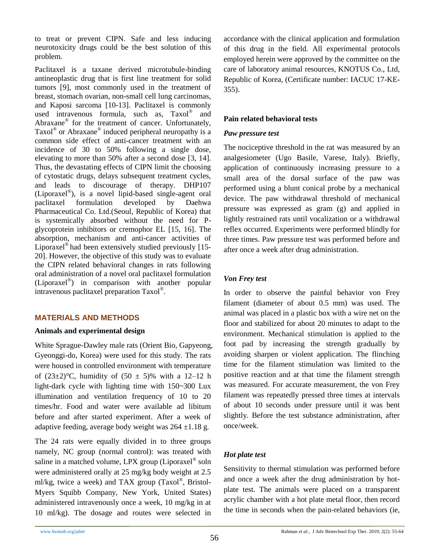to treat or prevent CIPN. Safe and less inducing neurotoxicity drugs could be the best solution of this problem.

Paclitaxel is a taxane derived microtubule-binding antineoplastic drug that is first line treatment for solid tumors [9], most commonly used in the treatment of breast, stomach ovarian, non-small cell lung carcinomas, and Kaposi sarcoma [10-13]. Paclitaxel is commonly used intravenous formula, such as, Taxol® and Abraxane<sup>®</sup> for the treatment of cancer. Unfortunately, Taxol® or Abraxane® induced peripheral neuropathy is a common side effect of anti-cancer treatment with an incidence of 30 to 50% following a single dose, elevating to more than 50% after a second dose [3, 14]. Thus, the devastating effects of CIPN limit the choosing of cytostatic drugs, delays subsequent treatment cycles, and leads to discourage of therapy. DHP107 (Liporaxel® ), is a novel lipid-based single-agent oral paclitaxel formulation developed by Daehwa Pharmaceutical Co. Ltd.(Seoul, Republic of Korea) that is systemically absorbed without the need for Pglycoprotein inhibitors or cremophor EL [15, 16]. The absorption, mechanism and anti-cancer activities of Liporaxel® had been extensively studied previously [15- 20]. However, the objective of this study was to evaluate the CIPN related behavioral changes in rats following oral administration of a novel oral paclitaxel formulation (Liporaxel® ) in comparison with another popular intravenous paclitaxel preparation Taxol® .

# **MATERIALS AND METHODS**

### **Animals and experimental design**

White Sprague-Dawley male rats (Orient Bio, Gapyeong, Gyeonggi-do, Korea) were used for this study. The rats were housed in controlled environment with temperature of  $(23\pm2)$ °C, humidity of  $(50 \pm 5)$ % with a 12–12 h light-dark cycle with lighting time with 150~300 Lux illumination and ventilation frequency of 10 to 20 times/hr. Food and water were available ad libitum before and after started experiment. After a week of adaptive feeding, average body weight was  $264 \pm 1.18$  g.

The 24 rats were equally divided in to three groups namely, NC group (normal control): was treated with saline in a matched volume, LPX group (Liporaxel® soln were administered orally at 25 mg/kg body weight at 2.5 ml/kg, twice a week) and TAX group (Taxol®, Bristol-Myers Squibb Company, New York, United States) administered intravenously once a week, 10 mg/kg in at 10 ml/kg). The dosage and routes were selected in

accordance with the clinical application and formulation of this drug in the field. All experimental protocols employed herein were approved by the committee on the care of laboratory animal resources, KNOTUS Co., Ltd, Republic of Korea, (Certificate number: IACUC 17-KE-355).

### **Pain related behavioral tests**

#### *Paw pressure test*

The nociceptive threshold in the rat was measured by an analgesiometer (Ugo Basile, Varese, Italy). Briefly, application of continuously increasing pressure to a small area of the dorsal surface of the paw was performed using a blunt conical probe by a mechanical device. The paw withdrawal threshold of mechanical pressure was expressed as gram (g) and applied in lightly restrained rats until vocalization or a withdrawal reflex occurred. Experiments were performed blindly for three times. Paw pressure test was performed before and after once a week after drug administration.

### *Von Frey test*

In order to observe the painful behavior von Frey filament (diameter of about 0.5 mm) was used. The animal was placed in a plastic box with a wire net on the floor and stabilized for about 20 minutes to adapt to the environment. Mechanical stimulation is applied to the foot pad by increasing the strength gradually by avoiding sharpen or violent application. The flinching time for the filament stimulation was limited to the positive reaction and at that time the filament strength was measured. For accurate measurement, the von Frey filament was repeatedly pressed three times at intervals of about 10 seconds under pressure until it was bent slightly. Before the test substance administration, after once/week.

### *Hot plate test*

Sensitivity to thermal stimulation was performed before and once a week after the drug administration by hotplate test. The animals were placed on a transparent acrylic chamber with a hot plate metal floor, then record the time in seconds when the pain-related behaviors (ie,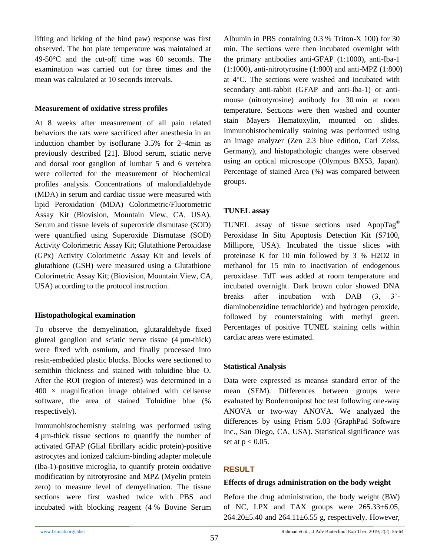lifting and licking of the hind paw) response was first observed. The hot plate temperature was maintained at 49-50°C and the cut-off time was 60 seconds. The examination was carried out for three times and the mean was calculated at 10 seconds intervals.

### **Measurement of oxidative stress profiles**

At 8 weeks after measurement of all pain related behaviors the rats were sacrificed after anesthesia in an induction chamber by isoflurane 3.5% for 2–4min as previously described [21]. Blood serum, sciatic nerve and dorsal root ganglion of lumbar 5 and 6 vertebra were collected for the measurement of biochemical profiles analysis. Concentrations of malondialdehyde (MDA) in serum and cardiac tissue were measured with lipid Peroxidation (MDA) Colorimetric/Fluorometric Assay Kit (Biovision, Mountain View, CA, USA). Serum and tissue levels of superoxide dismutase (SOD) were quantified using Superoxide Dismutase (SOD) Activity Colorimetric Assay Kit; Glutathione Peroxidase (GPx) Activity Colorimetric Assay Kit and levels of glutathione (GSH) were measured using a Glutathione Colorimetric Assay Kit; (Biovision, Mountain View, CA, USA) according to the protocol instruction.

### **Histopathological examination**

To observe the demyelination, glutaraldehyde fixed gluteal ganglion and sciatic nerve tissue (4 µm-thick) were fixed with osmium, and finally processed into resin-embedded plastic blocks. Blocks were sectioned to semithin thickness and stained with toluidine blue O. After the ROI (region of interest) was determined in a  $400 \times$  magnification image obtained with cellsense software, the area of stained Toluidine blue (% respectively).

Immunohistochemistry staining was performed using 4 µm-thick tissue sections to quantify the number of activated GFAP (Glial fibrillary acidic protein)-positive astrocytes and ionized calcium-binding adapter molecule (Iba-1)-positive microglia, to quantify protein oxidative modification by nitrotyrosine and MPZ (Myelin protein zero) to measure level of demyelination. The tissue sections were first washed twice with PBS and incubated with blocking reagent (4 % Bovine Serum

Albumin in PBS containing 0.3 % Triton-X 100) for 30 min. The sections were then incubated overnight with the primary antibodies anti-GFAP (1:1000), anti-Iba-1 (1:1000), anti-nitrotyrosine (1:800) and anti-MPZ (1:800) at 4°C. The sections were washed and incubated with secondary anti-rabbit (GFAP and anti-Iba-1) or antimouse (nitrotyrosine) antibody for 30 min at room temperature. Sections were then washed and counter stain Mayers Hematoxylin, mounted on slides. Immunohistochemically staining was performed using an image analyzer (Zen 2.3 blue edition, Carl Zeiss, Germany), and histopathologic changes were observed using an optical microscope (Olympus BX53, Japan). Percentage of stained Area (%) was compared between groups.

# **TUNEL assay**

TUNEL assay of tissue sections used ApopTag® Peroxidase In Situ Apoptosis Detection Kit (S7100, Millipore, USA). Incubated the tissue slices with proteinase K for 10 min followed by 3 % H2O2 in methanol for 15 min to inactivation of endogenous peroxidase. TdT was added at room temperature and incubated overnight. Dark brown color showed DNA breaks after incubation with DAB (3, 3' diaminobenzidine tetrachloride) and hydrogen peroxide, followed by counterstaining with methyl green. Percentages of positive TUNEL staining cells within cardiac areas were estimated.

# **Statistical Analysis**

Data were expressed as means± standard error of the mean (SEM). Differences between groups were evaluated by Bonferronipost hoc test following one-way ANOVA or two-way ANOVA. We analyzed the differences by using Prism 5.03 (GraphPad Software Inc., San Diego, CA, USA). Statistical significance was set at  $p < 0.05$ .

# **RESULT**

### **Effects of drugs administration on the body weight**

Before the drug administration, the body weight (BW) of NC, LPX and TAX groups were  $265.33\pm6.05$ ,  $264.20 \pm 5.40$  and  $264.11 \pm 6.55$  g, respectively. However,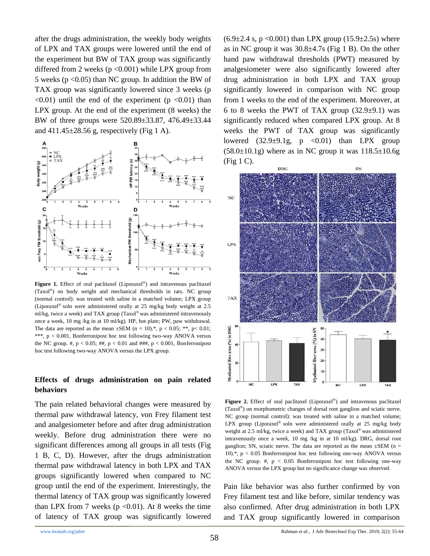after the drugs administration, the weekly body weights of LPX and TAX groups were lowered until the end of the experiment but BW of TAX group was significantly differed from 2 weeks  $(p < 0.001)$  while LPX group from 5 weeks ( $p \le 0.05$ ) than NC group. In addition the BW of TAX group was significantly lowered since 3 weeks (p  $\langle 0.01 \rangle$  until the end of the experiment (p  $\langle 0.01 \rangle$ ) than LPX group. At the end of the experiment (8 weeks) the BW of three groups were 520.89±33.87, 476.49±33.44 and  $411.45\pm28.56$  g, respectively (Fig 1 A).



Figure 1. Effect of oral paclitaxel (Liporaxel<sup>®</sup>) and intravenous paclitaxel (Taxol® ) on body weight and mechanical thresholds in rats. NC group (normal control): was treated with saline in a matched volume; LPX group (Liporaxel® soln were administered orally at 25 mg/kg body weight at 2.5 ml/kg, twice a week) and TAX group (Taxol® was administered intravenously once a week, 10 mg /kg in at 10 ml/kg). HP, hot plate; PW, paw withdrawal. The data are reported as the mean  $\pm$ SEM (n = 10).\*, p < 0.05; \*\*, p< 0.01; \*\*\*, p < 0.001, Bonferronipost hoc test following two-way ANOVA versus the NC group. #,  $p < 0.05$ ; ##,  $p < 0.01$  and ###,  $p < 0.001$ , Bonferronipost hoc test following two-way ANOVA versus the LPX group.

### **Effects of drugs administration on pain related behaviors**

The pain related behavioral changes were measured by thermal paw withdrawal latency, von Frey filament test and analgesiometer before and after drug administration weekly. Before drug administration there were no significant differences among all groups in all tests (Fig 1 B, C, D). However, after the drugs administration thermal paw withdrawal latency in both LPX and TAX groups significantly lowered when compared to NC group until the end of the experiment. Interestingly, the thermal latency of TAX group was significantly lowered than LPX from 7 weeks ( $p \le 0.01$ ). At 8 weeks the time of latency of TAX group was significantly lowered  $(6.9\pm2.4 \text{ s}, \text{p} < 0.001)$  than LPX group  $(15.9\pm2.5 \text{ s})$  where as in NC group it was  $30.8\pm4.7$  (Fig 1 B). On the other hand paw withdrawal thresholds (PWT) measured by analgesiometer were also significantly lowered after drug administration in both LPX and TAX group significantly lowered in comparison with NC group from 1 weeks to the end of the experiment. Moreover, at 6 to 8 weeks the PWT of TAX group  $(32.9\pm9.1)$  was significantly reduced when compared LPX group. At 8 weeks the PWT of TAX group was significantly lowered  $(32.9\pm9.1g, p \le 0.01)$  than LPX group  $(58.0\pm10.1g)$  where as in NC group it was  $118.5\pm10.6g$ (Fig 1 C).



Figure 2. Effect of oral paclitaxel (Liporaxel<sup>®</sup>) and intravenous paclitaxel (Taxol® ) on morphometric changes of dorsal root ganglion and sciatic nerve. NC group (normal control): was treated with saline in a matched volume; LPX group (Liporaxel® soln were administered orally at 25 mg/kg body weight at 2.5 ml/kg, twice a week) and TAX group (Taxol® was administered intravenously once a week, 10 mg /kg in at 10 ml/kg). DRG, dorsal root ganglion; SN, sciatic nerve. The data are reported as the mean  $\pm$ SEM (n = 10).\*,  $p < 0.05$  Bonferronipost hoc test following one-way ANOVA versus the NC group.  $\#$ ,  $p < 0.05$  Bonferronipost hoc test following one-way ANOVA versus the LPX group but no significance change was observed.

Pain like behavior was also further confirmed by von Frey filament test and like before, similar tendency was also confirmed. After drug administration in both LPX and TAX group significantly lowered in comparison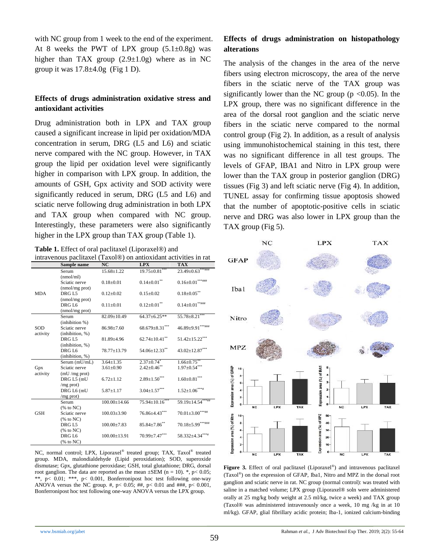with NC group from 1 week to the end of the experiment. At 8 weeks the PWT of LPX group  $(5.1\pm0.8g)$  was higher than TAX group  $(2.9 \pm 1.0)$  where as in NC group it was  $17.8 \pm 4.0$ g (Fig 1 D).

### **Effects of drugs administration oxidative stress and antioxidant activities**

Drug administration both in LPX and TAX group caused a significant increase in lipid per oxidation/MDA concentration in serum, DRG (L5 and L6) and sciatic nerve compared with the NC group. However, in TAX group the lipid per oxidation level were significantly higher in comparison with LPX group. In addition, the amounts of GSH, Gpx activity and SOD activity were significantly reduced in serum, DRG (L5 and L6) and sciatic nerve following drug administration in both LPX and TAX group when compared with NC group. Interestingly, these parameters were also significantly higher in the LPX group than TAX group (Table 1).

#### **Table 1.** Effect of oral paclitaxel (Liporaxel®) and

|  | intravenous paclitaxel (Taxol®) on antioxidant activities in rat |  |  |
|--|------------------------------------------------------------------|--|--|
|  |                                                                  |  |  |

|            | Sample name       | NC                 | <b>LPX</b>                   | <b>TAX</b>             |
|------------|-------------------|--------------------|------------------------------|------------------------|
|            | Serum             | $15.68 \pm 1.22$   | $19.75 \pm 0.81$             |                        |
|            | (nmol/ml)         |                    |                              |                        |
|            | Sciatic nerve     | $0.18 + 0.01$      | $0.14{\pm0.01}^{**}$         | $0.16 \pm 0.01******$  |
|            | (nmol/mg prot)    |                    |                              |                        |
| <b>MDA</b> | DRG L5            | $0.12 \pm 0.02$    | $0.15 \pm 0.02$              | $0.18 \pm 0.05$ **     |
|            | (nmol/mg prot)    |                    |                              |                        |
|            | DRG L6            | $0.11 \pm 0.01$    | $0.12{\pm0.01}^{**}$         | $0.14 \pm 0.01$ ****** |
|            | (nmol/mg prot)    |                    |                              |                        |
|            | Serum             | 82.09±10.49        | $64.37 \pm 6.25**$           | $55.78 \pm 8.21$       |
|            | (inhibition %)    |                    |                              |                        |
| SOD        | Sciatic nerve     | 86.98±7.60         | $68.679 \pm 8.31***$         | 46.89±9.91*******      |
| activity   | (inhibition, %)   |                    |                              |                        |
|            | DRG <sub>L5</sub> | $81.89{\pm}4.96$   | $62.74 \pm 10.41$ **         | $51.42 \pm 15.22***$   |
|            | (inhibition, %)   |                    |                              |                        |
|            | DRG L6            | 78.77+13.79        | $54.06 \pm 12.33$ **         | $43.02 \pm 12.87***$   |
|            | (inhibition, %)   |                    |                              |                        |
|            | Serum (mU/mL)     | $3.64 \pm 1.35$    | $2.37 \pm 0.74$ <sup>*</sup> | $1.66 \pm 0.75$        |
| Gpx        | Sciatic nerve     | $3.61 \pm 0.90$    | $2.42 \pm 0.46$              | $1.97 \pm 0.54$ ***    |
| activity   | $(mU/mg$ prot)    |                    |                              |                        |
|            | DRG L5 (mU        | $6.72 + 1.12$      | $2.89 \pm 1.50$ ***          | $1.60 \pm 0.81$ ***    |
|            | $/mg$ prot)       |                    |                              |                        |
|            | DRG L6 (mU        | $5.87 \pm 1.17$    | $3.04 \pm 1.57***$           | $1.52{\pm}1.06^{***}$  |
|            | $/mg$ prot)       |                    |                              |                        |
|            | Serum             | $100.00 + 14.66$   | $75.94 \pm 10.16$ ***        | $59.19 \pm 14.54***$   |
|            | $%$ to NC)        |                    |                              |                        |
| <b>GSH</b> | Sciatic nerve     | $100.03 \pm 3.90$  | 76.86±4.43***                | $70.01 \pm 3.00$ ***## |
|            | $%$ to NC)        |                    |                              |                        |
|            | DRG <sub>L5</sub> | $100.00 \pm 7.83$  | $85.84{\pm}7.86^{**}$        | $70.18 \pm 5.99******$ |
|            | $%$ to NC)        |                    |                              |                        |
|            | DRG L6            | $100.00 \pm 13.91$ | 70.99±7.47***                | 58.332±4.34***#        |
|            | $%$ to NC)        |                    |                              |                        |

NC, normal control; LPX, Liporaxel<sup>®</sup> treated group; TAX, Taxol® treated group. MDA, malondialdehyde (Lipid peroxidation); SOD, superoxide dismutase; Gpx, glutathione peroxidase; GSH, total glutathione; DRG, dorsal root ganglion. The data are reported as the mean  $\pm$ SEM (n = 10). \*, p< 0.05; \*\*, p< 0.01; \*\*\*, p< 0.001, Bonferronipost hoc test following one-way ANOVA versus the NC group. #,  $p$  < 0.05; ##,  $p$  < 0.01 and ###,  $p$  < 0.001, Bonferronipost hoc test following one-way ANOVA versus the LPX group.

### **Effects of drugs administration on histopathology alterations**

The analysis of the changes in the area of the nerve fibers using electron microscopy, the area of the nerve fibers in the sciatic nerve of the TAX group was significantly lower than the NC group ( $p < 0.05$ ). In the LPX group, there was no significant difference in the area of the dorsal root ganglion and the sciatic nerve fibers in the sciatic nerve compared to the normal control group (Fig 2). In addition, as a result of analysis using immunohistochemical staining in this test, there was no significant difference in all test groups. The levels of GFAP, IBA1 and Nitro in LPX group were lower than the TAX group in posterior ganglion (DRG) tissues (Fig 3) and left sciatic nerve (Fig 4). In addition, TUNEL assay for confirming tissue apoptosis showed that the number of apoptotic-positive cells in sciatic nerve and DRG was also lower in LPX group than the TAX group (Fig 5).



Figure 3. Effect of oral paclitaxel (Liporaxel<sup>®</sup>) and intravenous paclitaxel (Taxol® ) on the expression of GFAP, Iba1, Nitro and MPZ in the dorsal root ganglion and sciatic nerve in rat. NC group (normal control): was treated with saline in a matched volume; LPX group (Liporaxel® soln were administered orally at 25 mg/kg body weight at 2.5 ml/kg, twice a week) and TAX group (Taxol® was administered intravenously once a week, 10 mg /kg in at 10 ml/kg). GFAP, glial fibrillary acidic protein; Iba-1, ionized calcium-binding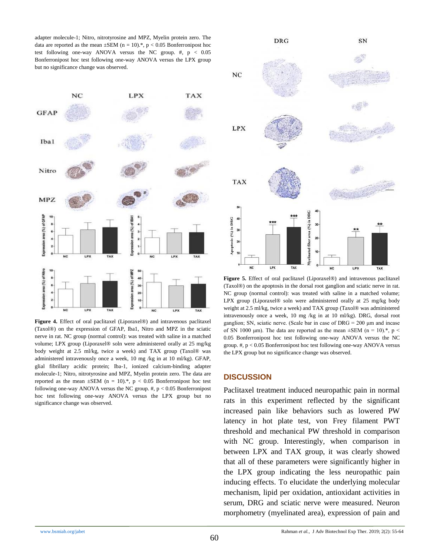adapter molecule-1; Nitro, nitrotyrosine and MPZ, Myelin protein zero. The data are reported as the mean  $\pm$ SEM (n = 10).<sup>\*</sup>, p < 0.05 Bonferronipost hoc test following one-way ANOVA versus the NC group.  $\#$ ,  $p < 0.05$ Bonferronipost hoc test following one-way ANOVA versus the LPX group but no significance change was observed.



**Figure 4.** Effect of oral paclitaxel (Liporaxel®) and intravenous paclitaxel (Taxol®) on the expression of GFAP, Iba1, Nitro and MPZ in the sciatic nerve in rat. NC group (normal control): was treated with saline in a matched volume; LPX group (Liporaxel® soln were administered orally at 25 mg/kg body weight at 2.5 ml/kg, twice a week) and TAX group (Taxol® was administered intravenously once a week, 10 mg /kg in at 10 ml/kg). GFAP, glial fibrillary acidic protein; Iba-1, ionized calcium-binding adapter molecule-1; Nitro, nitrotyrosine and MPZ, Myelin protein zero. The data are reported as the mean  $\pm$ SEM (n = 10).\*, p < 0.05 Bonferronipost hoc test following one-way ANOVA versus the NC group.  $#$ ,  $p < 0.05$  Bonferronipost hoc test following one-way ANOVA versus the LPX group but no significance change was observed.



**Figure 5.** Effect of oral paclitaxel (Liporaxel®) and intravenous paclitaxel (Taxol®) on the apoptosis in the dorsal root ganglion and sciatic nerve in rat. NC group (normal control): was treated with saline in a matched volume; LPX group (Liporaxel® soln were administered orally at 25 mg/kg body weight at 2.5 ml/kg, twice a week) and TAX group (Taxol® was administered intravenously once a week, 10 mg /kg in at 10 ml/kg). DRG, dorsal root ganglion; SN, sciatic nerve. (Scale bar in case of DRG = 200 μm and incase of SN 1000 μm). The data are reported as the mean  $\pm$ SEM (n = 10).<sup>\*</sup>, p < 0.05 Bonferronipost hoc test following one-way ANOVA versus the NC group. #, p < 0.05 Bonferronipost hoc test following one-way ANOVA versus the LPX group but no significance change was observed.

#### **DISCUSSION**

Paclitaxel treatment induced neuropathic pain in normal rats in this experiment reflected by the significant increased pain like behaviors such as lowered PW latency in hot plate test, von Frey filament PWT threshold and mechanical PW threshold in comparison with NC group. Interestingly, when comparison in between LPX and TAX group, it was clearly showed that all of these parameters were significantly higher in the LPX group indicating the less neuropathic pain inducing effects. To elucidate the underlying molecular mechanism, lipid per oxidation, antioxidant activities in serum, DRG and sciatic nerve were measured. Neuron morphometry (myelinated area), expression of pain and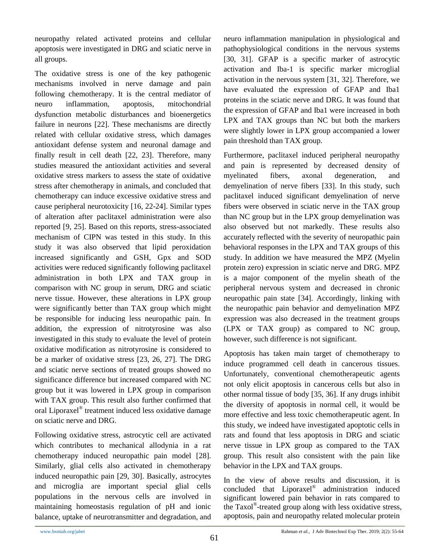neuropathy related activated proteins and cellular apoptosis were investigated in DRG and sciatic nerve in all groups.

The oxidative stress is one of the key pathogenic mechanisms involved in nerve damage and pain following chemotherapy. It is the central mediator of neuro inflammation, apoptosis, mitochondrial dysfunction metabolic disturbances and bioenergetics failure in neurons [22]. These mechanisms are directly related with cellular oxidative stress, which damages antioxidant defense system and neuronal damage and finally result in cell death [22, 23]. Therefore, many studies measured the antioxidant activities and several oxidative stress markers to assess the state of oxidative stress after chemotherapy in animals, and concluded that chemotherapy can induce excessive oxidative stress and cause peripheral neurotoxicity [16, 22-24]. Similar types of alteration after paclitaxel administration were also reported [9, 25]. Based on this reports, stress-associated mechanism of CIPN was tested in this study. In this study it was also observed that lipid peroxidation increased significantly and GSH, Gpx and SOD activities were reduced significantly following paclitaxel administration in both LPX and TAX group in comparison with NC group in serum, DRG and sciatic nerve tissue. However, these alterations in LPX group were significantly better than TAX group which might be responsible for inducing less neuropathic pain. In addition, the expression of nitrotyrosine was also investigated in this study to evaluate the level of protein oxidative modification as nitrotyrosine is considered to be a marker of oxidative stress [23, 26, 27]. The DRG and sciatic nerve sections of treated groups showed no significance difference but increased compared with NC group but it was lowered in LPX group in comparison with TAX group. This result also further confirmed that oral Liporaxel® treatment induced less oxidative damage on sciatic nerve and DRG.

Following oxidative stress, astrocytic cell are activated which contributes to mechanical allodynia in a rat chemotherapy induced neuropathic pain model [28]. Similarly, glial cells also activated in chemotherapy induced neuropathic pain [29, 30]. Basically, astrocytes and microglia are important special glial cells populations in the nervous cells are involved in maintaining homeostasis regulation of pH and ionic balance, uptake of neurotransmitter and degradation, and neuro inflammation manipulation in physiological and pathophysiological conditions in the nervous systems [30, 31]. GFAP is a specific marker of astrocytic activation and Iba-1 is specific marker microglial activation in the nervous system [31, 32]. Therefore, we have evaluated the expression of GFAP and Iba1 proteins in the sciatic nerve and DRG. It was found that the expression of GFAP and Iba1 were increased in both LPX and TAX groups than NC but both the markers were slightly lower in LPX group accompanied a lower pain threshold than TAX group.

Furthermore, paclitaxel induced peripheral neuropathy and pain is represented by decreased density of myelinated fibers, axonal degeneration, and demyelination of nerve fibers [33]. In this study, such paclitaxel induced significant demyelination of nerve fibers were observed in sciatic nerve in the TAX group than NC group but in the LPX group demyelination was also observed but not markedly. These results also accurately reflected with the severity of neuropathic pain behavioral responses in the LPX and TAX groups of this study. In addition we have measured the MPZ (Myelin protein zero) expression in sciatic nerve and DRG. MPZ is a major component of the myelin sheath of the peripheral nervous system and decreased in chronic neuropathic pain state [34]. Accordingly, linking with the neuropathic pain behavior and demyelination MPZ expression was also decreased in the treatment groups (LPX or TAX group) as compared to NC group, however, such difference is not significant.

Apoptosis has taken main target of chemotherapy to induce programmed cell death in cancerous tissues. Unfortunately, conventional chemotherapeutic agents not only elicit apoptosis in cancerous cells but also in other normal tissue of body [35, 36]. If any drugs inhibit the diversity of apoptosis in normal cell, it would be more effective and less toxic chemotherapeutic agent. In this study, we indeed have investigated apoptotic cells in rats and found that less apoptosis in DRG and sciatic nerve tissue in LPX group as compared to the TAX group. This result also consistent with the pain like behavior in the LPX and TAX groups.

In the view of above results and discussion, it is concluded that Liporaxel® administration induced significant lowered pain behavior in rats compared to the Taxol® -treated group along with less oxidative stress, apoptosis, pain and neuropathy related molecular protein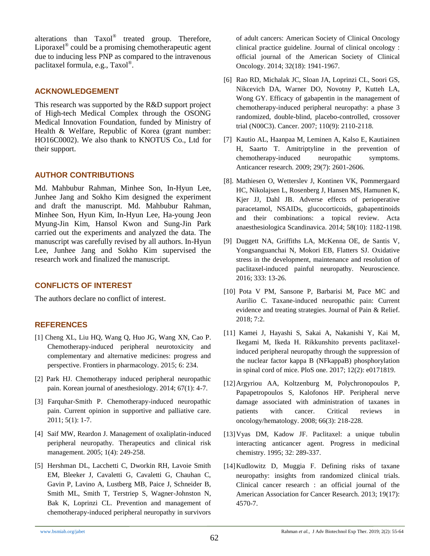alterations than Taxol® treated group. Therefore, Liporaxel<sup>®</sup> could be a promising chemotherapeutic agent due to inducing less PNP as compared to the intravenous paclitaxel formula, e.g., Taxol®.

#### **ACKNOWLEDGEMENT**

This research was supported by the R&D support project of High-tech Medical Complex through the OSONG Medical Innovation Foundation, funded by Ministry of Health & Welfare, Republic of Korea (grant number: HO16C0002). We also thank to KNOTUS Co., Ltd for their support.

### **AUTHOR CONTRIBUTIONS**

Md. Mahbubur Rahman, Minhee Son, In-Hyun Lee, Junhee Jang and Sokho Kim designed the experiment and draft the manuscript. Md. Mahbubur Rahman, Minhee Son, Hyun Kim, In-Hyun Lee, Ha-young Jeon Myung-Jin Kim, Hansol Kwon and Sung-Jin Park carried out the experiments and analyzed the data. The manuscript was carefully revised by all authors. In-Hyun Lee, Junhee Jang and Sokho Kim supervised the research work and finalized the manuscript.

# **CONFLICTS OF INTEREST**

The authors declare no conflict of interest.

### **REFERENCES**

- [1] Cheng XL, Liu HQ, Wang Q, Huo JG, Wang XN, Cao P. Chemotherapy-induced peripheral neurotoxicity and complementary and alternative medicines: progress and perspective. Frontiers in pharmacology. 2015; 6: 234.
- [2] Park HJ. Chemotherapy induced peripheral neuropathic pain. Korean journal of anesthesiology. 2014; 67(1): 4-7.
- [3] Farquhar-Smith P. Chemotherapy-induced neuropathic pain. Current opinion in supportive and palliative care. 2011; 5(1): 1-7.
- [4] Saif MW, Reardon J. Management of oxaliplatin-induced peripheral neuropathy. Therapeutics and clinical risk management. 2005; 1(4): 249-258.
- [5] Hershman DL, Lacchetti C, Dworkin RH, Lavoie Smith EM, Bleeker J, Cavaletti G, Cavaletti G, Chauhan C, Gavin P, Lavino A, Lustberg MB, Paice J, Schneider B, Smith ML, Smith T, Terstriep S, Wagner-Johnston N, Bak K, Loprinzi CL. Prevention and management of chemotherapy-induced peripheral neuropathy in survivors

of adult cancers: American Society of Clinical Oncology clinical practice guideline. Journal of clinical oncology : official journal of the American Society of Clinical Oncology. 2014; 32(18): 1941-1967.

- [6] Rao RD, Michalak JC, Sloan JA, Loprinzi CL, Soori GS, Nikcevich DA, Warner DO, Novotny P, Kutteh LA, Wong GY. Efficacy of gabapentin in the management of chemotherapy-induced peripheral neuropathy: a phase 3 randomized, double-blind, placebo-controlled, crossover trial (N00C3). Cancer. 2007; 110(9): 2110-2118.
- [7] Kautio AL, Haanpaa M, Leminen A, Kalso E, Kautiainen H, Saarto T. Amitriptyline in the prevention of chemotherapy-induced neuropathic symptoms. Anticancer research. 2009; 29(7): 2601-2606.
- [8]. Mathiesen O, Wetterslev J, Kontinen VK, Pommergaard HC, Nikolajsen L, Rosenberg J, Hansen MS, Hamunen K, Kjer JJ, Dahl JB. Adverse effects of perioperative paracetamol, NSAIDs, glucocorticoids, gabapentinoids and their combinations: a topical review. Acta anaesthesiologica Scandinavica. 2014; 58(10): 1182-1198.
- [9] Duggett NA, Griffiths LA, McKenna OE, de Santis V, Yongsanguanchai N, Mokori EB, Flatters SJ. Oxidative stress in the development, maintenance and resolution of paclitaxel-induced painful neuropathy. Neuroscience. 2016; 333: 13-26.
- [10] Pota V PM, Sansone P, Barbarisi M, Pace MC and Aurilio C. Taxane-induced neuropathic pain: Current evidence and treating strategies. Journal of Pain & Relief. 2018; 7:2.
- [11] Kamei J, Hayashi S, Sakai A, Nakanishi Y, Kai M, Ikegami M, Ikeda H. Rikkunshito prevents paclitaxelinduced peripheral neuropathy through the suppression of the nuclear factor kappa B (NFkappaB) phosphorylation in spinal cord of mice. PloS one. 2017; 12(2): e0171819.
- [12]Argyriou AA, Koltzenburg M, Polychronopoulos P, Papapetropoulos S, Kalofonos HP. Peripheral nerve damage associated with administration of taxanes in patients with cancer. Critical reviews in oncology/hematology. 2008; 66(3): 218-228.
- [13]Vyas DM, Kadow JF. Paclitaxel: a unique tubulin interacting anticancer agent. Progress in medicinal chemistry. 1995; 32: 289-337.
- [14]Kudlowitz D, Muggia F. Defining risks of taxane neuropathy: insights from randomized clinical trials. Clinical cancer research : an official journal of the American Association for Cancer Research. 2013; 19(17): 4570-7.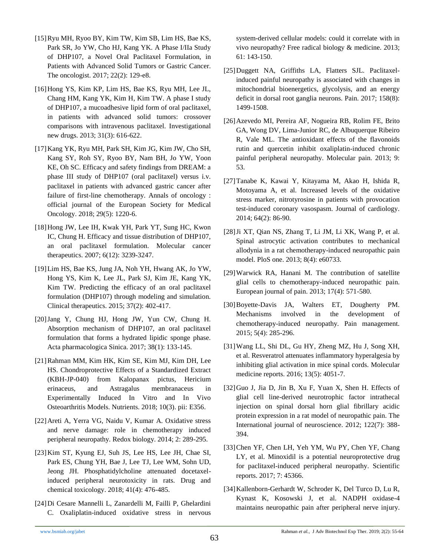- [15]Ryu MH, Ryoo BY, Kim TW, Kim SB, Lim HS, Bae KS, Park SR, Jo YW, Cho HJ, Kang YK. A Phase I/IIa Study of DHP107, a Novel Oral Paclitaxel Formulation, in Patients with Advanced Solid Tumors or Gastric Cancer. The oncologist. 2017; 22(2): 129-e8.
- [16]Hong YS, Kim KP, Lim HS, Bae KS, Ryu MH, Lee JL, Chang HM, Kang YK, Kim H, Kim TW. A phase I study of DHP107, a mucoadhesive lipid form of oral paclitaxel, in patients with advanced solid tumors: crossover comparisons with intravenous paclitaxel. Investigational new drugs. 2013; 31(3): 616-622.
- [17]Kang YK, Ryu MH, Park SH, Kim JG, Kim JW, Cho SH, Kang SY, Roh SY, Ryoo BY, Nam BH, Jo YW, Yoon KE, Oh SC. Efficacy and safety findings from DREAM: a phase III study of DHP107 (oral paclitaxel) versus i.v. paclitaxel in patients with advanced gastric cancer after failure of first-line chemotherapy. Annals of oncology : official journal of the European Society for Medical Oncology. 2018; 29(5): 1220-6.
- [18]Hong JW, Lee IH, Kwak YH, Park YT, Sung HC, Kwon IC, Chung H. Efficacy and tissue distribution of DHP107, an oral paclitaxel formulation. Molecular cancer therapeutics. 2007; 6(12): 3239-3247.
- [19]Lim HS, Bae KS, Jung JA, Noh YH, Hwang AK, Jo YW, Hong YS, Kim K, Lee JL, Park SJ, Kim JE, Kang YK, Kim TW. Predicting the efficacy of an oral paclitaxel formulation (DHP107) through modeling and simulation. Clinical therapeutics. 2015; 37(2): 402-417.
- [20]Jang Y, Chung HJ, Hong JW, Yun CW, Chung H. Absorption mechanism of DHP107, an oral paclitaxel formulation that forms a hydrated lipidic sponge phase. Acta pharmacologica Sinica. 2017; 38(1): 133-145.
- [21]Rahman MM, Kim HK, Kim SE, Kim MJ, Kim DH, Lee HS. Chondroprotective Effects of a Standardized Extract (KBH-JP-040) from Kalopanax pictus, Hericium erinaceus, and Astragalus membranaceus in Experimentally Induced In Vitro and In Vivo Osteoarthritis Models. Nutrients. 2018; 10(3). pii: E356.
- [22]Areti A, Yerra VG, Naidu V, Kumar A. Oxidative stress and nerve damage: role in chemotherapy induced peripheral neuropathy. Redox biology. 2014; 2: 289-295.
- [23]Kim ST, Kyung EJ, Suh JS, Lee HS, Lee JH, Chae SI, Park ES, Chung YH, Bae J, Lee TJ, Lee WM, Sohn UD, Jeong JH. Phosphatidylcholine attenuated docetaxelinduced peripheral neurotoxicity in rats. Drug and chemical toxicology. 2018; 41(4): 476-485.
- [24]Di Cesare Mannelli L, Zanardelli M, Failli P, Ghelardini C. Oxaliplatin-induced oxidative stress in nervous

system-derived cellular models: could it correlate with in vivo neuropathy? Free radical biology & medicine. 2013; 61: 143-150.

- [25]Duggett NA, Griffiths LA, Flatters SJL. Paclitaxelinduced painful neuropathy is associated with changes in mitochondrial bioenergetics, glycolysis, and an energy deficit in dorsal root ganglia neurons. Pain. 2017; 158(8): 1499-1508.
- [26]Azevedo MI, Pereira AF, Nogueira RB, Rolim FE, Brito GA, Wong DV, Lima-Junior RC, de Albuquerque Ribeiro R, Vale ML. The antioxidant effects of the flavonoids rutin and quercetin inhibit oxaliplatin-induced chronic painful peripheral neuropathy. Molecular pain. 2013; 9: 53.
- [27]Tanabe K, Kawai Y, Kitayama M, Akao H, Ishida R, Motoyama A, et al. Increased levels of the oxidative stress marker, nitrotyrosine in patients with provocation test-induced coronary vasospasm. Journal of cardiology. 2014; 64(2): 86-90.
- [28]Ji XT, Qian NS, Zhang T, Li JM, Li XK, Wang P, et al. Spinal astrocytic activation contributes to mechanical allodynia in a rat chemotherapy-induced neuropathic pain model. PloS one. 2013; 8(4): e60733.
- [29]Warwick RA, Hanani M. The contribution of satellite glial cells to chemotherapy-induced neuropathic pain. European journal of pain. 2013; 17(4): 571-580.
- [30]Boyette-Davis JA, Walters ET, Dougherty PM. Mechanisms involved in the development of chemotherapy-induced neuropathy. Pain management. 2015; 5(4): 285-296.
- [31]Wang LL, Shi DL, Gu HY, Zheng MZ, Hu J, Song XH, et al. Resveratrol attenuates inflammatory hyperalgesia by inhibiting glial activation in mice spinal cords. Molecular medicine reports. 2016; 13(5): 4051-7.
- [32]Guo J, Jia D, Jin B, Xu F, Yuan X, Shen H. Effects of glial cell line-derived neurotrophic factor intrathecal injection on spinal dorsal horn glial fibrillary acidic protein expression in a rat model of neuropathic pain. The International journal of neuroscience. 2012; 122(7): 388- 394.
- [33]Chen YF, Chen LH, Yeh YM, Wu PY, Chen YF, Chang LY, et al. Minoxidil is a potential neuroprotective drug for paclitaxel-induced peripheral neuropathy. Scientific reports. 2017; 7: 45366.
- [34]Kallenborn-Gerhardt W, Schroder K, Del Turco D, Lu R, Kynast K, Kosowski J, et al. NADPH oxidase-4 maintains neuropathic pain after peripheral nerve injury.